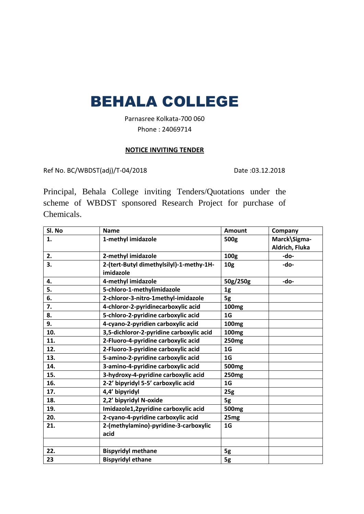# BEHALA COLLEGE

Parnasree Kolkata-700 060 Phone : 24069714

#### **NOTICE INVITING TENDER**

Ref No. BC/WBDST(adj)/T-04/2018 Date :03.12.2018

Principal, Behala College inviting Tenders/Quotations under the scheme of WBDST sponsored Research Project for purchase of Chemicals.

| Sl. No | <b>Name</b>                              | <b>Amount</b>     | Company        |
|--------|------------------------------------------|-------------------|----------------|
| 1.     | 1-methyl imidazole                       | 500g              | Marck\Sigma-   |
|        |                                          |                   | Aldrich, Fluka |
| 2.     | 2-methyl imidazole                       | 100g              | -do-           |
| 3.     | 2-(tert-Butyl dimethylsilyl)-1-methy-1H- | 10 <sub>g</sub>   | -do-           |
|        | imidazole                                |                   |                |
| 4.     | 4-methyl imidazole                       | 50g/250g          | -do-           |
| 5.     | 5-chloro-1-methylimidazole               | 1g                |                |
| 6.     | 2-chloror-3-nitro-1methyl-imidazole      | 5g                |                |
| 7.     | 4-chloror-2-pyridinecarboxylic acid      | 100 <sub>mg</sub> |                |
| 8.     | 5-chloro-2-pyridine carboxylic acid      | 1 <sub>G</sub>    |                |
| 9.     | 4-cyano-2-pyridien carboxylic acid       | 100 <sub>mg</sub> |                |
| 10.    | 3,5-dichloror-2-pyridine carboxylic acid | 100 <sub>mg</sub> |                |
| 11.    | 2-Fluoro-4-pyridine carboxylic acid      | <b>250mg</b>      |                |
| 12.    | 2-Fluoro-3-pyridine carboxylic acid      | 1G                |                |
| 13.    | 5-amino-2-pyridine carboxylic acid       | 1 <sub>G</sub>    |                |
| 14.    | 3-amino-4-pyridine carboxylic acid       | 500 <sub>mg</sub> |                |
| 15.    | 3-hydroxy-4-pyridine carboxylic acid     | <b>250mg</b>      |                |
| 16.    | 2-2' bipyridyl 5-5' carboxylic acid      | 1 <sub>G</sub>    |                |
| 17.    | 4,4' bipyridyl                           | 25g               |                |
| 18.    | 2,2' bipyridyl N-oxide                   | 5g                |                |
| 19.    | Imidazole1,2pyridine carboxylic acid     | 500 <sub>mg</sub> |                |
| 20.    | 2-cyano-4-pyridine carboxylic acid       | 25 <sub>mg</sub>  |                |
| 21.    | 2-(methylamino)-pyridine-3-carboxylic    | 1G                |                |
|        | acid                                     |                   |                |
|        |                                          |                   |                |
| 22.    | <b>Bispyridyl methane</b>                | 5g                |                |
| 23     | <b>Bispyridyl ethane</b>                 | 5g                |                |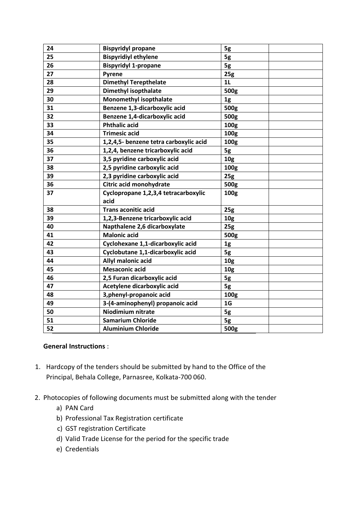| 24 | <b>Bispyridyl propane</b>              | 5g              |  |
|----|----------------------------------------|-----------------|--|
| 25 | <b>Bispyridiyl ethylene</b>            | 5g              |  |
| 26 | <b>Bispyridyl 1-propane</b>            | 5g              |  |
| 27 | Pyrene                                 | 25g             |  |
| 28 | <b>Dimethyl Terepthelate</b>           | 1 <sub>L</sub>  |  |
| 29 | <b>Dimethyl isopthalate</b>            | 500g            |  |
| 30 | <b>Monomethyl isopthalate</b>          | 1g              |  |
| 31 | Benzene 1,3-dicarboxylic acid          | 500g            |  |
| 32 | Benzene 1,4-dicarboxylic acid          | 500g            |  |
| 33 | <b>Phthalic acid</b>                   | 100g            |  |
| 34 | <b>Trimesic acid</b>                   | 100g            |  |
| 35 | 1,2,4,5- benzene tetra carboxylic acid | 100g            |  |
| 36 | 1,2,4, benzene tricarboxylic acid      | 5g              |  |
| 37 | 3,5 pyridine carboxylic acid           | 10 <sub>g</sub> |  |
| 38 | 2,5 pyridine carboxylic acid           | 100g            |  |
| 39 | 2,3 pyridine carboxylic acid           | 25g             |  |
| 36 | Citric acid monohydrate                | 500g            |  |
| 37 | Cyclopropane 1,2,3,4 tetracarboxylic   | 100g            |  |
|    | acid                                   |                 |  |
| 38 | <b>Trans aconitic acid</b>             | 25g             |  |
| 39 | 1,2,3-Benzene tricarboxylic acid       | 10 <sub>g</sub> |  |
| 40 | Napthalene 2,6 dicarboxylate           | 25g             |  |
| 41 | <b>Malonic acid</b>                    | 500g            |  |
| 42 | Cyclohexane 1,1-dicarboxylic acid      | 1g              |  |
| 43 | Cyclobutane 1,1-dicarboxylic acid      | 5g              |  |
| 44 | Allyl malonic acid                     | 10 <sub>g</sub> |  |
| 45 | <b>Mesaconic acid</b>                  | 10 <sub>g</sub> |  |
| 46 | 2,5 Furan dicarboxylic acid            | 5g              |  |
| 47 | Acetylene dicarboxylic acid            | 5g              |  |
| 48 | 3, phenyl-propanoic acid               | 100g            |  |
| 49 | 3-(4-aminophenyl) propanoic acid       | 1 <sub>G</sub>  |  |
| 50 | <b>Niodimium nitrate</b>               | 5g              |  |
| 51 | <b>Samarium Chloride</b>               | 5g              |  |
| 52 | <b>Aluminium Chloride</b>              | 500g            |  |

## **General Instructions** :

- 1. Hardcopy of the tenders should be submitted by hand to the Office of the Principal, Behala College, Parnasree, Kolkata-700 060.
- 2. Photocopies of following documents must be submitted along with the tender
	- a) PAN Card
	- b) Professional Tax Registration certificate
	- c) GST registration Certificate
	- d) Valid Trade License for the period for the specific trade
	- e) Credentials